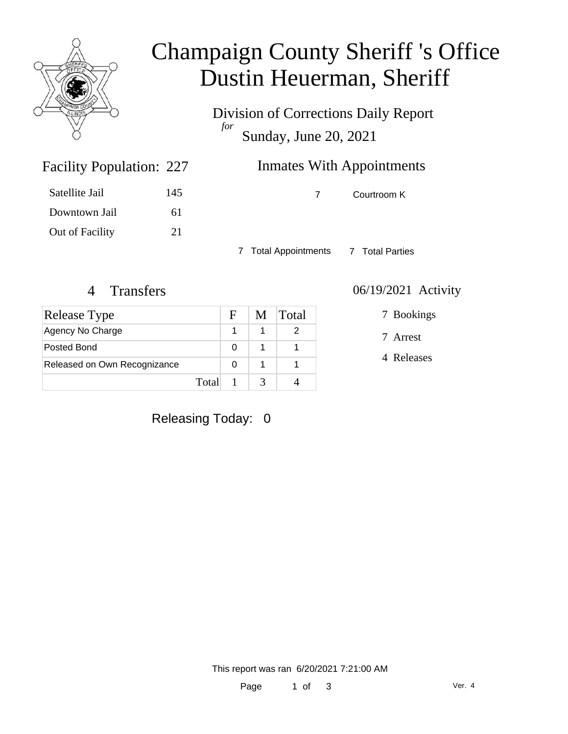

# Champaign County Sheriff 's Office Dustin Heuerman, Sheriff

Division of Corrections Daily Report *for* Sunday, June 20, 2021

| 227 | <b>Inmates With Appointments</b> |
|-----|----------------------------------|
|     |                                  |

Satellite Jail 145 Downtown Jail 61 Out of Facility 21

Facility Population: 227

7 Courtroom K

7 Total Appointments 7 Total Parties

| Release Type                 |  | M. | Total |
|------------------------------|--|----|-------|
| Agency No Charge             |  |    |       |
| Posted Bond                  |  |    |       |
| Released on Own Recognizance |  |    |       |
| Total                        |  |    |       |

### 4 Transfers 06/19/2021 Activity

7 Bookings

7 Arrest

4 Releases

Releasing Today: 0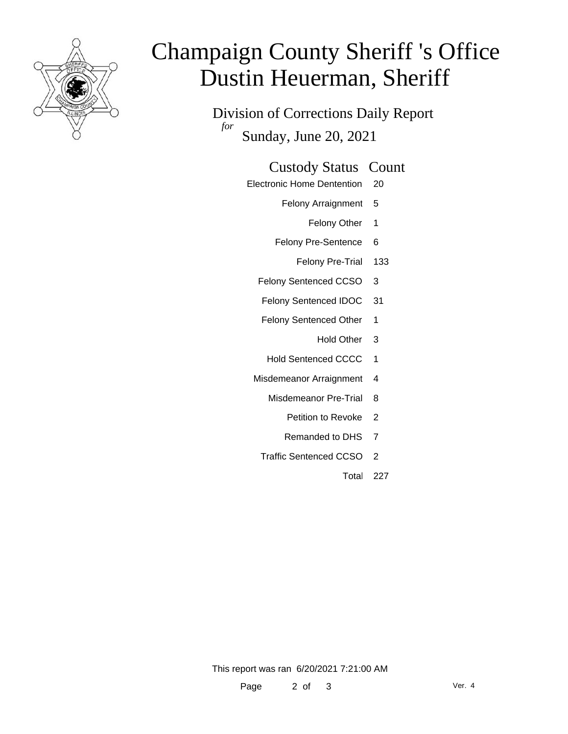

# Champaign County Sheriff 's Office Dustin Heuerman, Sheriff

Division of Corrections Daily Report *for* Sunday, June 20, 2021

### Custody Status Count

- Electronic Home Dentention 20
	- Felony Arraignment 5
		- Felony Other 1
	- Felony Pre-Sentence 6
		- Felony Pre-Trial 133
	- Felony Sentenced CCSO 3
	- Felony Sentenced IDOC 31
	- Felony Sentenced Other 1
		- Hold Other 3
	- Hold Sentenced CCCC 1
	- Misdemeanor Arraignment 4
		- Misdemeanor Pre-Trial 8
			- Petition to Revoke 2
			- Remanded to DHS 7
		- Traffic Sentenced CCSO 2
			- Total 227

This report was ran 6/20/2021 7:21:00 AM